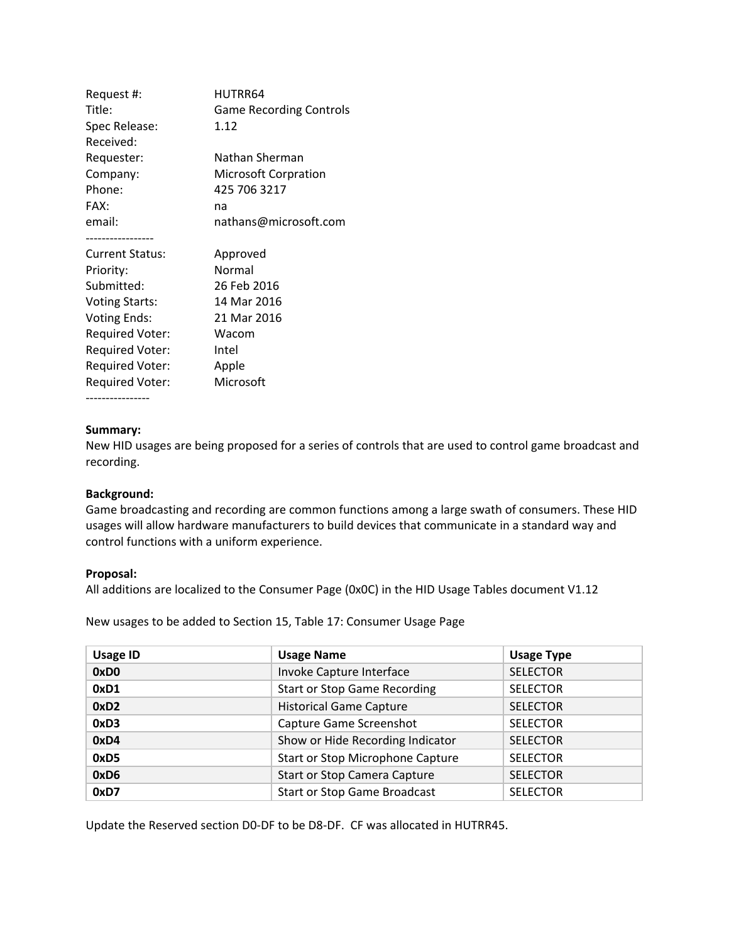| Request #:             | HUTRR64                        |  |
|------------------------|--------------------------------|--|
| Title:                 | <b>Game Recording Controls</b> |  |
| Spec Release:          | 1.12                           |  |
| Received:              |                                |  |
| Requester:             | Nathan Sherman                 |  |
| Company:               | <b>Microsoft Corpration</b>    |  |
| Phone:                 | 425 706 3217                   |  |
| FAX:                   | na                             |  |
| email:                 | nathans@microsoft.com          |  |
|                        |                                |  |
| <b>Current Status:</b> | Approved                       |  |
| Priority:              | Normal                         |  |
| Submitted:             | 26 Feb 2016                    |  |
| <b>Voting Starts:</b>  | 14 Mar 2016                    |  |
| <b>Voting Ends:</b>    | 21 Mar 2016                    |  |
| <b>Required Voter:</b> | Wacom                          |  |
| <b>Required Voter:</b> | Intel                          |  |
| <b>Required Voter:</b> | Apple                          |  |
| Required Voter:        | Microsoft                      |  |
|                        |                                |  |

## **Summary:**

New HID usages are being proposed for a series of controls that are used to control game broadcast and recording.

### **Background:**

Game broadcasting and recording are common functions among a large swath of consumers. These HID usages will allow hardware manufacturers to build devices that communicate in a standard way and control functions with a uniform experience.

#### **Proposal:**

All additions are localized to the Consumer Page (0x0C) in the HID Usage Tables document V1.12

New usages to be added to Section 15, Table 17: Consumer Usage Page

| <b>Usage ID</b>  | <b>Usage Name</b>                   | <b>Usage Type</b> |
|------------------|-------------------------------------|-------------------|
| 0xD <sub>0</sub> | Invoke Capture Interface            | <b>SELECTOR</b>   |
| 0xD1             | <b>Start or Stop Game Recording</b> | <b>SELECTOR</b>   |
| 0xD2             | <b>Historical Game Capture</b>      | <b>SELECTOR</b>   |
| 0xD3             | Capture Game Screenshot             | <b>SELECTOR</b>   |
| 0xD4             | Show or Hide Recording Indicator    | <b>SELECTOR</b>   |
| 0xD5             | Start or Stop Microphone Capture    | <b>SELECTOR</b>   |
| 0xD6             | <b>Start or Stop Camera Capture</b> | <b>SELECTOR</b>   |
| 0xD7             | <b>Start or Stop Game Broadcast</b> | <b>SELECTOR</b>   |

Update the Reserved section D0-DF to be D8-DF. CF was allocated in HUTRR45.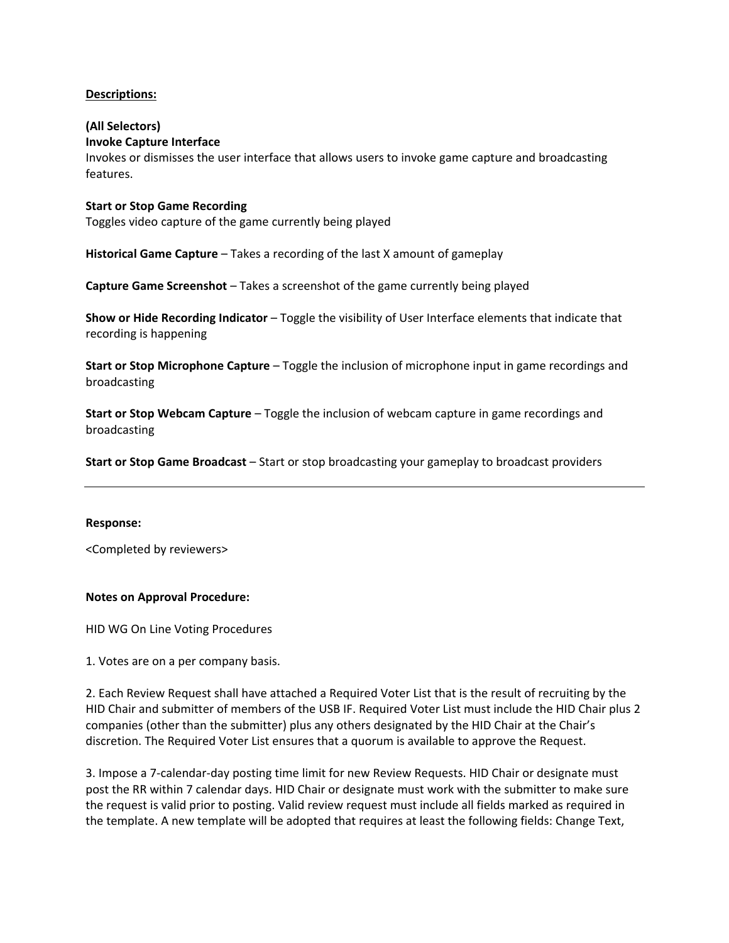## **Descriptions:**

# **(All Selectors)**

## **Invoke Capture Interface**

Invokes or dismisses the user interface that allows users to invoke game capture and broadcasting features.

## **Start or Stop Game Recording**

Toggles video capture of the game currently being played

Historical Game Capture – Takes a recording of the last X amount of gameplay

**Capture Game Screenshot** – Takes a screenshot of the game currently being played

**Show or Hide Recording Indicator** – Toggle the visibility of User Interface elements that indicate that recording is happening

**Start or Stop Microphone Capture** – Toggle the inclusion of microphone input in game recordings and broadcasting

**Start or Stop Webcam Capture** – Toggle the inclusion of webcam capture in game recordings and broadcasting

**Start or Stop Game Broadcast** – Start or stop broadcasting your gameplay to broadcast providers

### **Response:**

<Completed by reviewers>

### **Notes on Approval Procedure:**

HID WG On Line Voting Procedures

1. Votes are on a per company basis.

2. Each Review Request shall have attached a Required Voter List that is the result of recruiting by the HID Chair and submitter of members of the USB IF. Required Voter List must include the HID Chair plus 2 companies (other than the submitter) plus any others designated by the HID Chair at the Chair's discretion. The Required Voter List ensures that a quorum is available to approve the Request.

3. Impose a 7-calendar-day posting time limit for new Review Requests. HID Chair or designate must post the RR within 7 calendar days. HID Chair or designate must work with the submitter to make sure the request is valid prior to posting. Valid review request must include all fields marked as required in the template. A new template will be adopted that requires at least the following fields: Change Text,